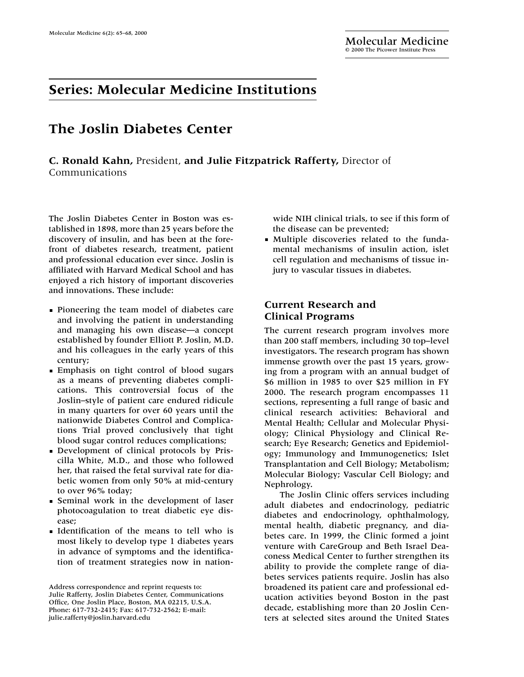## **Series: Molecular Medicine Institutions**

# **The Joslin Diabetes Center**

**C. Ronald Kahn,** President, **and Julie Fitzpatrick Rafferty,** Director of Communications

The Joslin Diabetes Center in Boston was established in 1898, more than 25 years before the discovery of insulin, and has been at the forefront of diabetes research, treatment, patient and professional education ever since. Joslin is affiliated with Harvard Medical School and has enjoyed a rich history of important discoveries and innovations. These include:

- **Pioneering the team model of diabetes care** and involving the patient in understanding and managing his own disease—a concept established by founder Elliott P. Joslin, M.D. and his colleagues in the early years of this century;
- Emphasis on tight control of blood sugars as a means of preventing diabetes complications. This controversial focus of the Joslin–style of patient care endured ridicule in many quarters for over 60 years until the nationwide Diabetes Control and Complications Trial proved conclusively that tight blood sugar control reduces complications;
- Development of clinical protocols by Priscilla White, M.D., and those who followed her, that raised the fetal survival rate for diabetic women from only 50% at mid-century to over 96% today;
- Seminal work in the development of laser photocoagulation to treat diabetic eye disease;
- **Identification of the means to tell who is** most likely to develop type 1 diabetes years in advance of symptoms and the identification of treatment strategies now in nation-

wide NIH clinical trials, to see if this form of the disease can be prevented;

Multiple discoveries related to the fundamental mechanisms of insulin action, islet cell regulation and mechanisms of tissue injury to vascular tissues in diabetes.

### **Current Research and Clinical Programs**

The current research program involves more than 200 staff members, including 30 top–level investigators. The research program has shown immense growth over the past 15 years, growing from a program with an annual budget of \$6 million in 1985 to over \$25 million in FY 2000. The research program encompasses 11 sections, representing a full range of basic and clinical research activities: Behavioral and Mental Health; Cellular and Molecular Physiology; Clinical Physiology and Clinical Research; Eye Research; Genetics and Epidemiology; Immunology and Immunogenetics; Islet Transplantation and Cell Biology; Metabolism; Molecular Biology; Vascular Cell Biology; and Nephrology.

The Joslin Clinic offers services including adult diabetes and endocrinology, pediatric diabetes and endocrinology, ophthalmology, mental health, diabetic pregnancy, and diabetes care. In 1999, the Clinic formed a joint venture with CareGroup and Beth Israel Deaconess Medical Center to further strengthen its ability to provide the complete range of diabetes services patients require. Joslin has also broadened its patient care and professional education activities beyond Boston in the past decade, establishing more than 20 Joslin Centers at selected sites around the United States

Address correspondence and reprint requests to: Julie Rafferty, Joslin Diabetes Center, Communications Office, One Joslin Place, Boston, MA 02215, U.S.A. Phone: 617-732-2415; Fax: 617-732-2562; E-mail: julie.rafferty@joslin.harvard.edu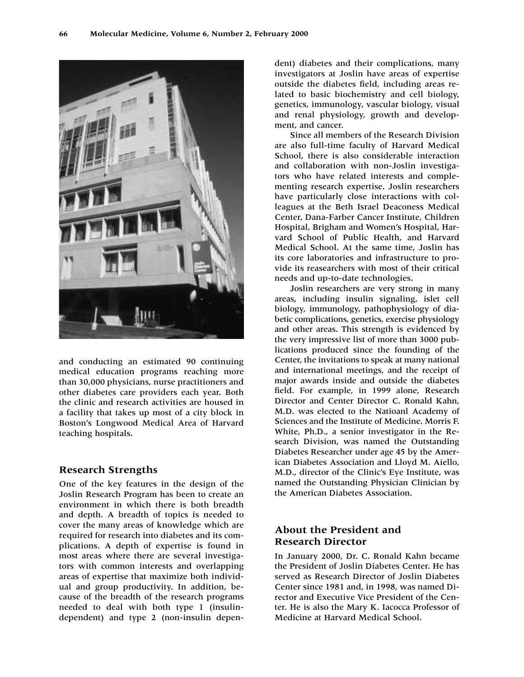

and conducting an estimated 90 continuing medical education programs reaching more than 30,000 physicians, nurse practitioners and other diabetes care providers each year. Both the clinic and research activities are housed in a facility that takes up most of a city block in Boston's Longwood Medical Area of Harvard teaching hospitals.

#### **Research Strengths**

One of the key features in the design of the Joslin Research Program has been to create an environment in which there is both breadth and depth. A breadth of topics is needed to cover the many areas of knowledge which are required for research into diabetes and its complications. A depth of expertise is found in most areas where there are several investigators with common interests and overlapping areas of expertise that maximize both individual and group productivity. In addition, because of the breadth of the research programs needed to deal with both type 1 (insulindependent) and type 2 (non-insulin dependent) diabetes and their complications, many investigators at Joslin have areas of expertise outside the diabetes field, including areas related to basic biochemistry and cell biology, genetics, immunology, vascular biology, visual and renal physiology, growth and development, and cancer.

Since all members of the Research Division are also full-time faculty of Harvard Medical School, there is also considerable interaction and collaboration with non-Joslin investigators who have related interests and complementing research expertise. Joslin researchers have particularly close interactions with colleagues at the Beth Israel Deaconess Medical Center, Dana-Farber Cancer Institute, Children Hospital, Brigham and Women's Hospital, Harvard School of Public Health, and Harvard Medical School. At the same time, Joslin has its core laboratories and infrastructure to provide its reasearchers with most of their critical needs and up-to-date technologies.

Joslin researchers are very strong in many areas, including insulin signaling, islet cell biology, immunology, pathophysiology of diabetic complications, genetics, exercise physiology and other areas. This strength is evidenced by the very impressive list of more than 3000 publications produced since the founding of the Center, the invitations to speak at many national and international meetings, and the receipt of major awards inside and outside the diabetes field. For example, in 1999 alone, Research Director and Center Director C. Ronald Kahn, M.D. was elected to the Natioanl Academy of Sciences and the Institute of Medicine. Morris F. White, Ph.D., a senior investigator in the Research Division, was named the Outstanding Diabetes Researcher under age 45 by the American Diabetes Association and Lloyd M. Aiello, M.D., director of the Clinic's Eye Institute, was named the Outstanding Physician Clinician by the American Diabetes Association.

### **About the President and Research Director**

In January 2000, Dr. C. Ronald Kahn became the President of Joslin Diabetes Center. He has served as Research Director of Joslin Diabetes Center since 1981 and, in 1998, was named Director and Executive Vice President of the Center. He is also the Mary K. Iacocca Professor of Medicine at Harvard Medical School.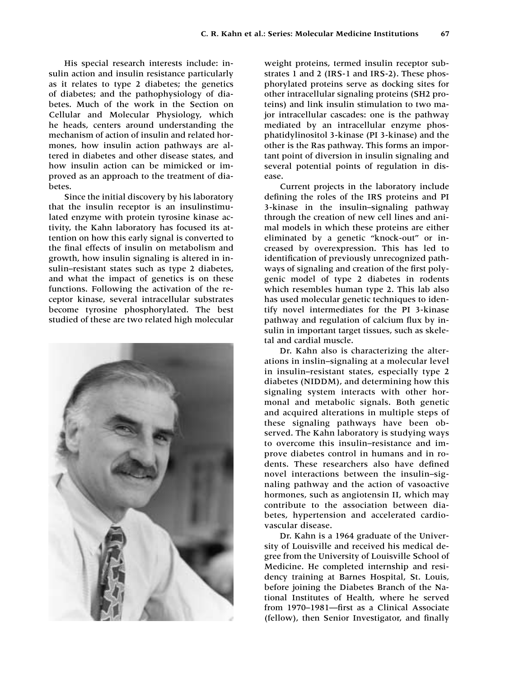His special research interests include: insulin action and insulin resistance particularly as it relates to type 2 diabetes; the genetics of diabetes; and the pathophysiology of diabetes. Much of the work in the Section on Cellular and Molecular Physiology, which he heads, centers around understanding the mechanism of action of insulin and related hormones, how insulin action pathways are altered in diabetes and other disease states, and how insulin action can be mimicked or improved as an approach to the treatment of diabetes.

Since the initial discovery by his laboratory that the insulin receptor is an insulinstimulated enzyme with protein tyrosine kinase activity, the Kahn laboratory has focused its attention on how this early signal is converted to the final effects of insulin on metabolism and growth, how insulin signaling is altered in insulin–resistant states such as type 2 diabetes, and what the impact of genetics is on these functions. Following the activation of the receptor kinase, several intracellular substrates become tyrosine phosphorylated. The best studied of these are two related high molecular



weight proteins, termed insulin receptor substrates 1 and 2 (IRS-1 and IRS-2). These phosphorylated proteins serve as docking sites for other intracellular signaling proteins (SH2 proteins) and link insulin stimulation to two major intracellular cascades: one is the pathway mediated by an intracellular enzyme phosphatidylinositol 3-kinase (PI 3-kinase) and the other is the Ras pathway. This forms an important point of diversion in insulin signaling and several potential points of regulation in disease.

Current projects in the laboratory include defining the roles of the IRS proteins and PI 3-kinase in the insulin–signaling pathway through the creation of new cell lines and animal models in which these proteins are either eliminated by a genetic "knock-out" or increased by overexpression. This has led to identification of previously unrecognized pathways of signaling and creation of the first polygenic model of type 2 diabetes in rodents which resembles human type 2. This lab also has used molecular genetic techniques to identify novel intermediates for the PI 3-kinase pathway and regulation of calcium flux by insulin in important target tissues, such as skeletal and cardial muscle.

Dr. Kahn also is characterizing the alterations in inslin–signaling at a molecular level in insulin–resistant states, especially type 2 diabetes (NIDDM), and determining how this signaling system interacts with other hormonal and metabolic signals. Both genetic and acquired alterations in multiple steps of these signaling pathways have been observed. The Kahn laboratory is studying ways to overcome this insulin–resistance and improve diabetes control in humans and in rodents. These researchers also have defined novel interactions between the insulin–signaling pathway and the action of vasoactive hormones, such as angiotensin II, which may contribute to the association between diabetes, hypertension and accelerated cardiovascular disease.

Dr. Kahn is a 1964 graduate of the University of Louisville and received his medical degree from the University of Louisville School of Medicine. He completed internship and residency training at Barnes Hospital, St. Louis, before joining the Diabetes Branch of the National Institutes of Health, where he served from 1970–1981—first as a Clinical Associate (fellow), then Senior Investigator, and finally